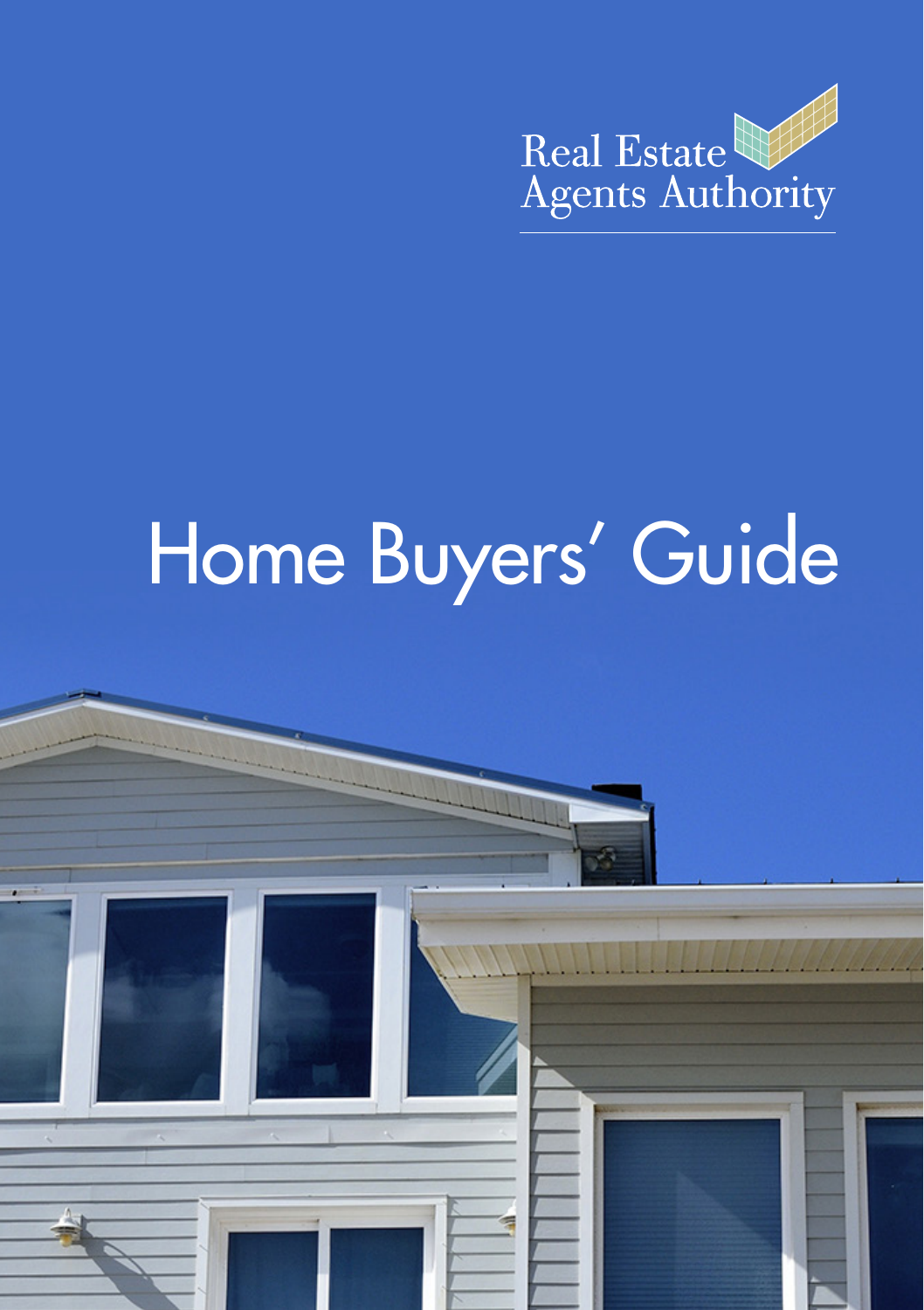

# Home Buyers' Guide

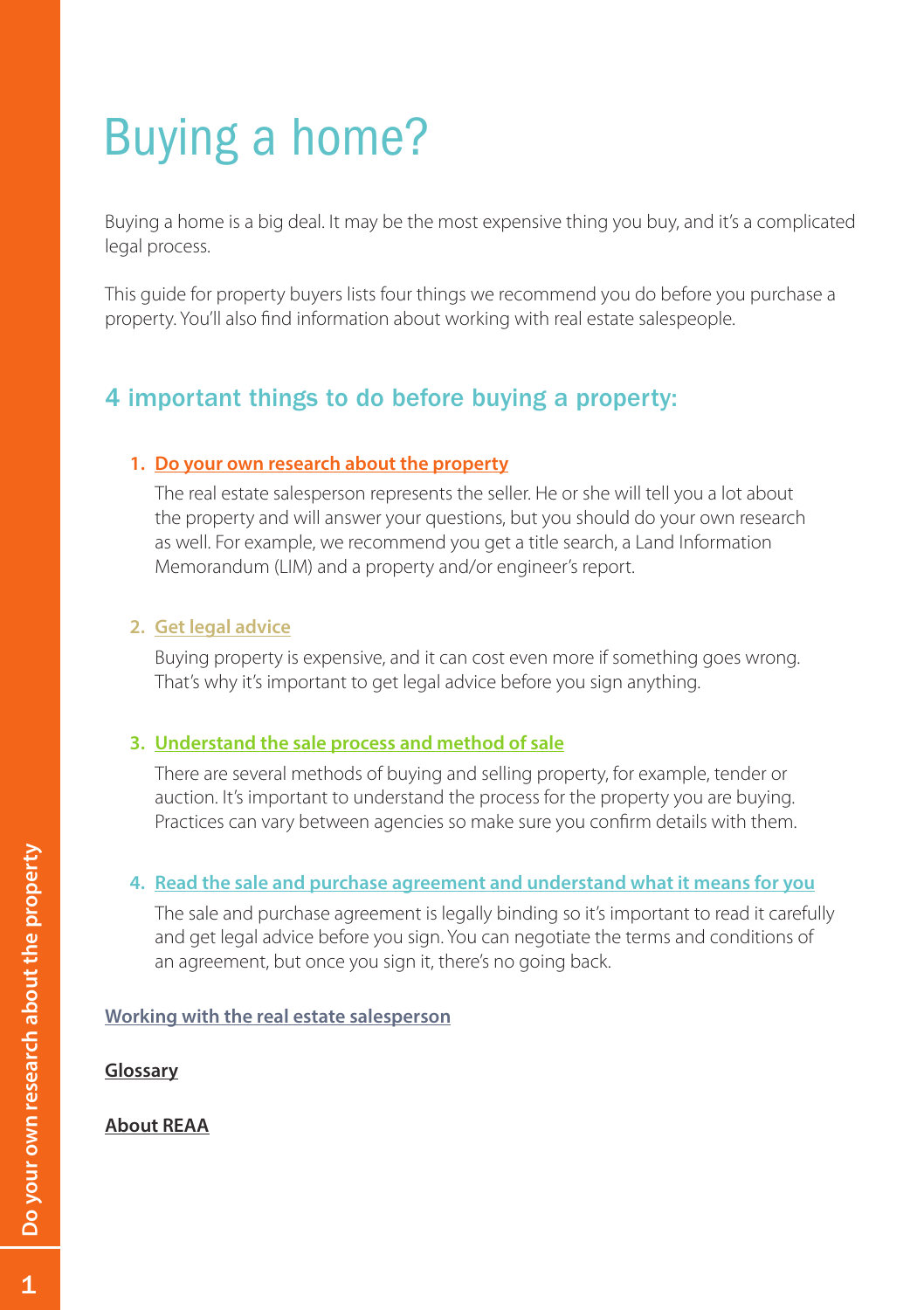# Buying a home?

Buying a home is a big deal. It may be the most expensive thing you buy, and it's a complicated legal process.

This guide for property buyers lists four things we recommend you do before you purchase a property. You'll also find information about working with real estate salespeople.

# 4 important things to do before buying a property:

#### **1. [Do your own research about the property](#page-2-0)**

The real estate salesperson represents the seller. He or she will tell you a lot about the property and will answer your questions, but you should do your own research as well. For example, we recommend you get a title search, a Land Information Memorandum (LIM) and a property and/or engineer's report.

#### **2. [Get legal advice](#page-5-0)**

Buying property is expensive, and it can cost even more if something goes wrong. That's why it's important to get legal advice before you sign anything.

#### **3. [Understand the sale process and method of sale](#page-6-0)**

There are several methods of buying and selling property, for example, tender or auction. It's important to understand the process for the property you are buying. Practices can vary between agencies so make sure you confirm details with them.

#### **4. [Read the sale and purchase agreement and understand what it means for you](#page-17-0)**

The sale and purchase agreement is legally binding so it's important to read it carefully and get legal advice before you sign. You can negotiate the terms and conditions of an agreement, but once you sign it, there's no going back.

#### **[Working with the real estate salesperson](#page-18-0)**

**[Glossary](#page-20-0)**

#### **[About REAA](#page-22-0)**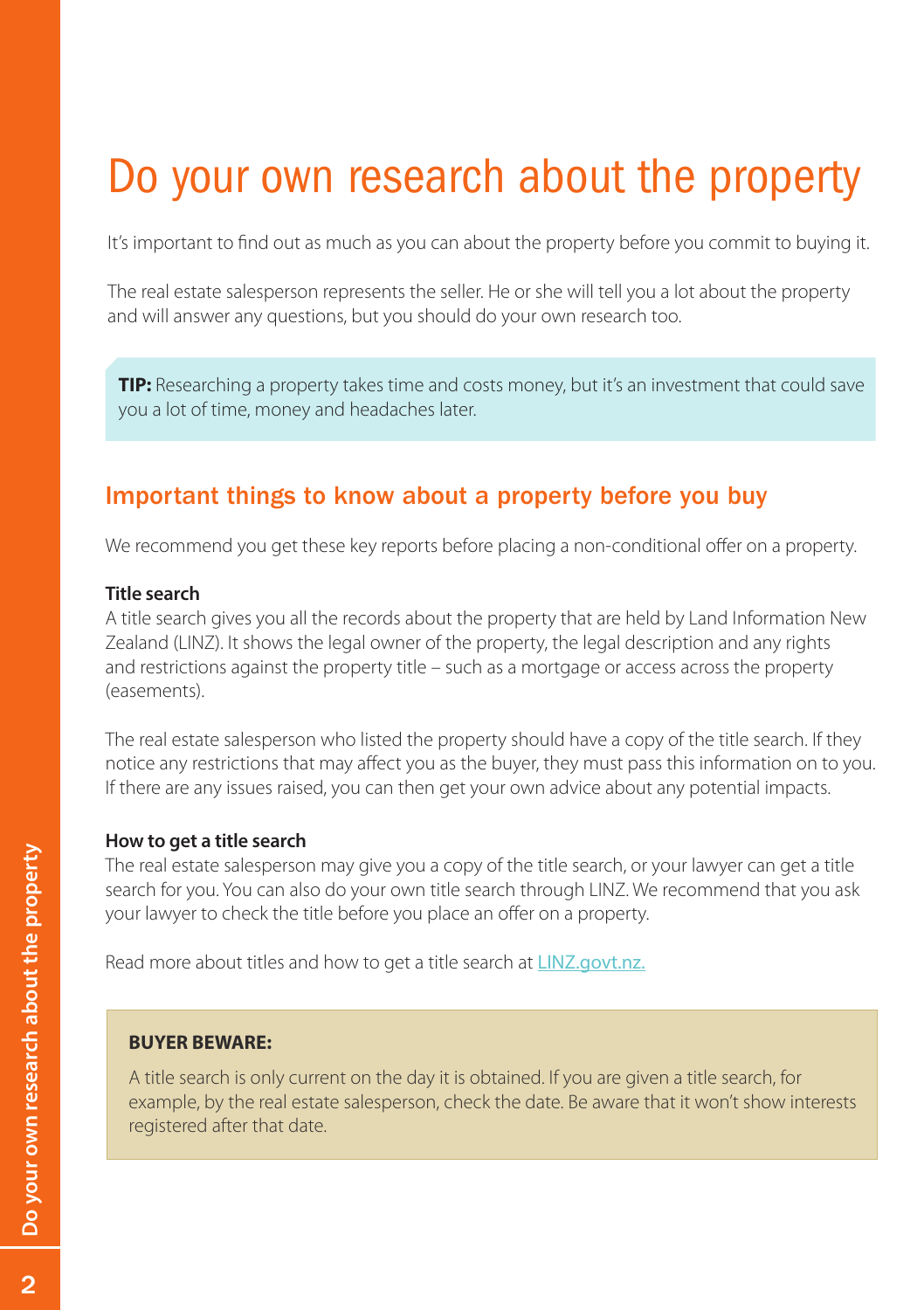# <span id="page-2-0"></span>Do your own research about the property

It's important to find out as much as you can about the property before you commit to buying it.

The real estate salesperson represents the seller. He or she will tell you a lot about the property and will answer any questions, but you should do your own research too.

**TIP:** Researching a property takes time and costs money, but it's an investment that could save you a lot of time, money and headaches later.

# Important things to know about a property before you buy

We recommend you get these key reports before placing a non-conditional offer on a property.

#### **Title search**

A title search gives you all the records about the property that are held by Land Information New Zealand (LINZ). It shows the legal owner of the property, the legal description and any rights and restrictions against the property title – such as a mortgage or access across the property (easements).

The real estate salesperson who listed the property should have a copy of the title search. If they notice any restrictions that may affect you as the buyer, they must pass this information on to you. If there are any issues raised, you can then get your own advice about any potential impacts.

#### **How to get a title search**

The real estate salesperson may give you a copy of the title search, or your lawyer can get a title search for you. You can also do your own title search through LINZ. We recommend that you ask your lawyer to check the title before you place an offer on a property.

Read more about titles and how to get a title search at [LINZ.govt.nz](http://www.linz.govt.nz/land/land-records).

#### **BUYER BEWARE:**

A title search is only current on the day it is obtained. If you are given a title search, for example, by the real estate salesperson, check the date. Be aware that it won't show interests registered after that date.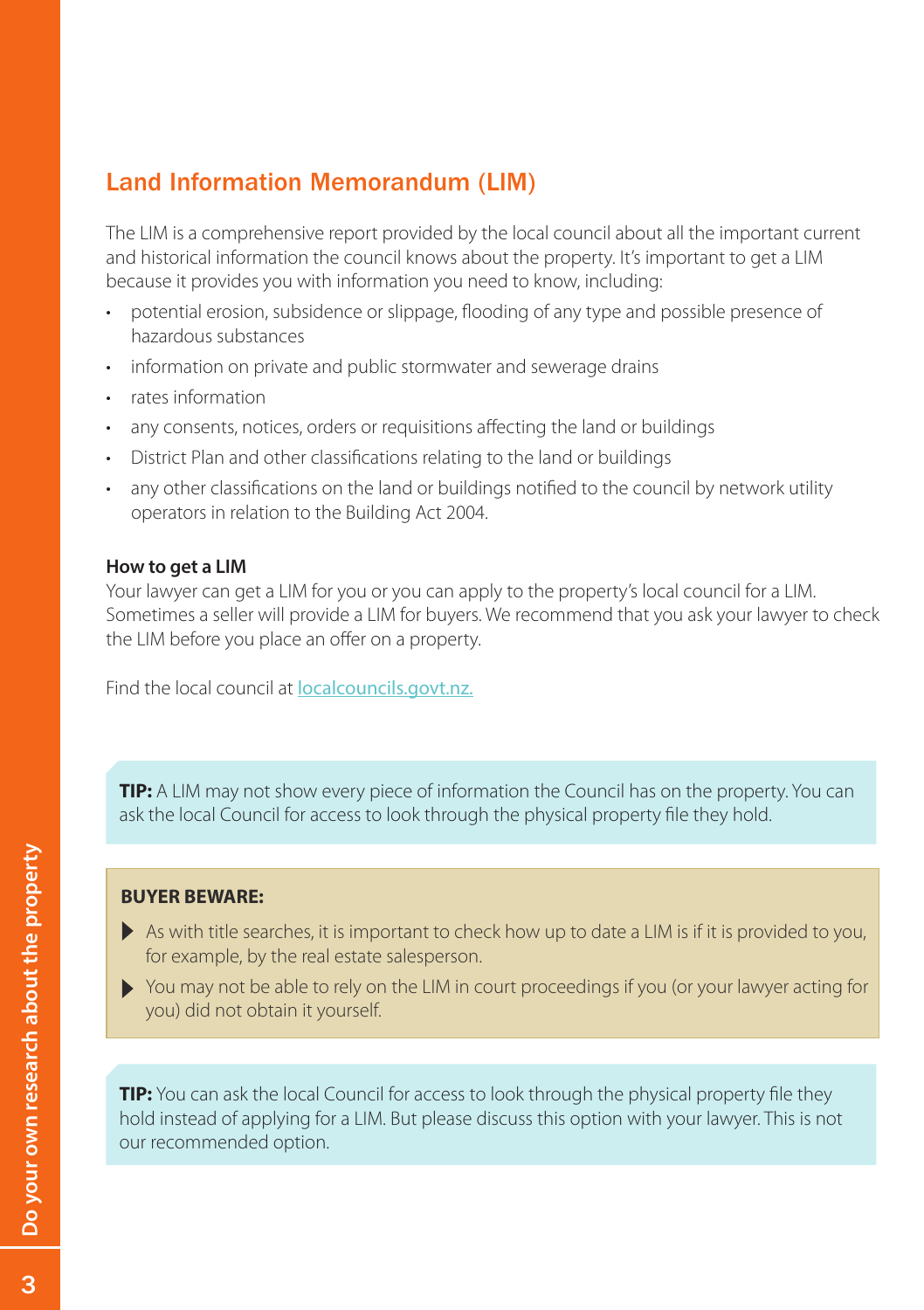# Land Information Memorandum (LIM)

The LIM is a comprehensive report provided by the local council about all the important current and historical information the council knows about the property. It's important to get a LIM because it provides you with information you need to know, including:

- potential erosion, subsidence or slippage, flooding of any type and possible presence of hazardous substances
- information on private and public stormwater and sewerage drains
- • rates information
- any consents, notices, orders or requisitions affecting the land or buildings
- District Plan and other classifications relating to the land or buildings
- any other classifications on the land or buildings notified to the council by network utility operators in relation to the Building Act 2004.

#### **How to get a LIM**

Your lawyer can get a LIM for you or you can apply to the property's local council for a LIM. Sometimes a seller will provide a LIM for buyers. We recommend that you ask your lawyer to check the LIM before you place an offer on a property.

Find the local council at [localcouncils.govt.nz.](http://www.localcouncils.govt.nz/lgip.nsf/wpg_URL/Profiles-Councils-by-Region-Index?OpenDocument)

**TIP:** A LIM may not show every piece of information the Council has on the property. You can ask the local Council for access to look through the physical property file they hold.

#### **BUYER BEWARE:**

- As with title searches, it is important to check how up to date a LIM is if it is provided to you, for example, by the real estate salesperson.
- You may not be able to rely on the LIM in court proceedings if you (or your lawyer acting for you) did not obtain it yourself.

**TIP:** You can ask the local Council for access to look through the physical property file they hold instead of applying for a LIM. But please discuss this option with your lawyer. This is not our recommended option.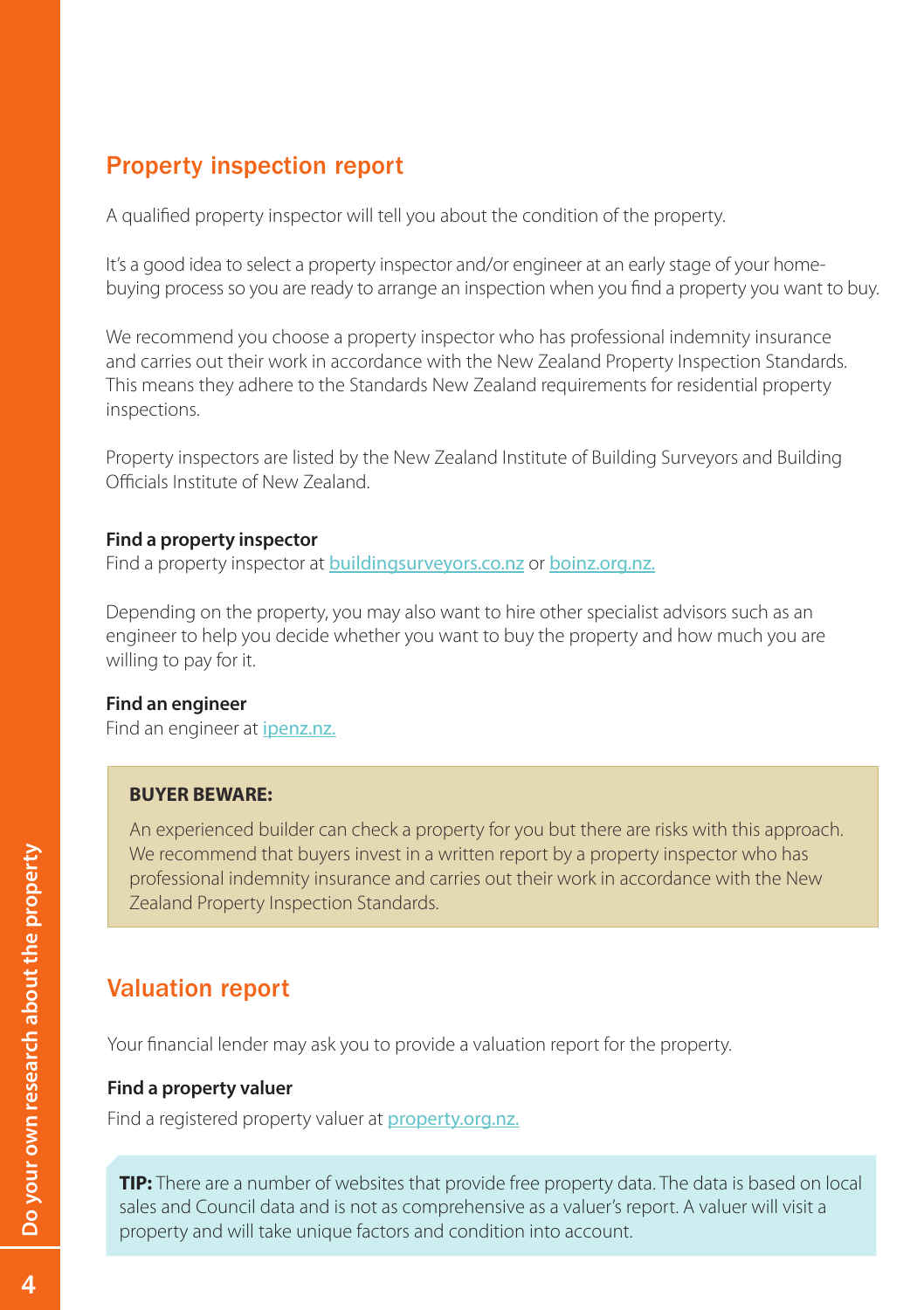# Property inspection report

A qualified property inspector will tell you about the condition of the property.

It's a good idea to select a property inspector and/or engineer at an early stage of your homebuying process so you are ready to arrange an inspection when you find a property you want to buy.

We recommend you choose a property inspector who has professional indemnity insurance and carries out their work in accordance with the New Zealand Property Inspection Standards. This means they adhere to the Standards New Zealand requirements for residential property inspections.

Property inspectors are listed by the New Zealand Institute of Building Surveyors and Building Officials Institute of New Zealand.

#### **Find a property inspector**

Find a property inspector at [buildingsurveyors.co.nz](http://www.buildingsurveyors.co.nz/) or [boinz.org.nz.](https://www.boinz.org.nz/Site/accreditation/Find-an-Accredited-Building-Surveyor/default.aspx)

Depending on the property, you may also want to hire other specialist advisors such as an engineer to help you decide whether you want to buy the property and how much you are willing to pay for it.

#### **Find an engineer**

Find an engineer at [ipenz.nz.](https://www.ipenz.nz/home/forms/register-search)

#### **BUYER BEWARE:**

An experienced builder can check a property for you but there are risks with this approach. We recommend that buyers invest in a written report by a property inspector who has professional indemnity insurance and carries out their work in accordance with the New Zealand Property Inspection Standards.

# Valuation report

Your financial lender may ask you to provide a valuation report for the property.

#### **Find a property valuer**

Find a registered property valuer at **[property.org.nz.](http://www.property.org.nz/MainMenu)** 

**TIP:** There are a number of websites that provide free property data. The data is based on local sales and Council data and is not as comprehensive as a valuer's report. A valuer will visit a property and will take unique factors and condition into account.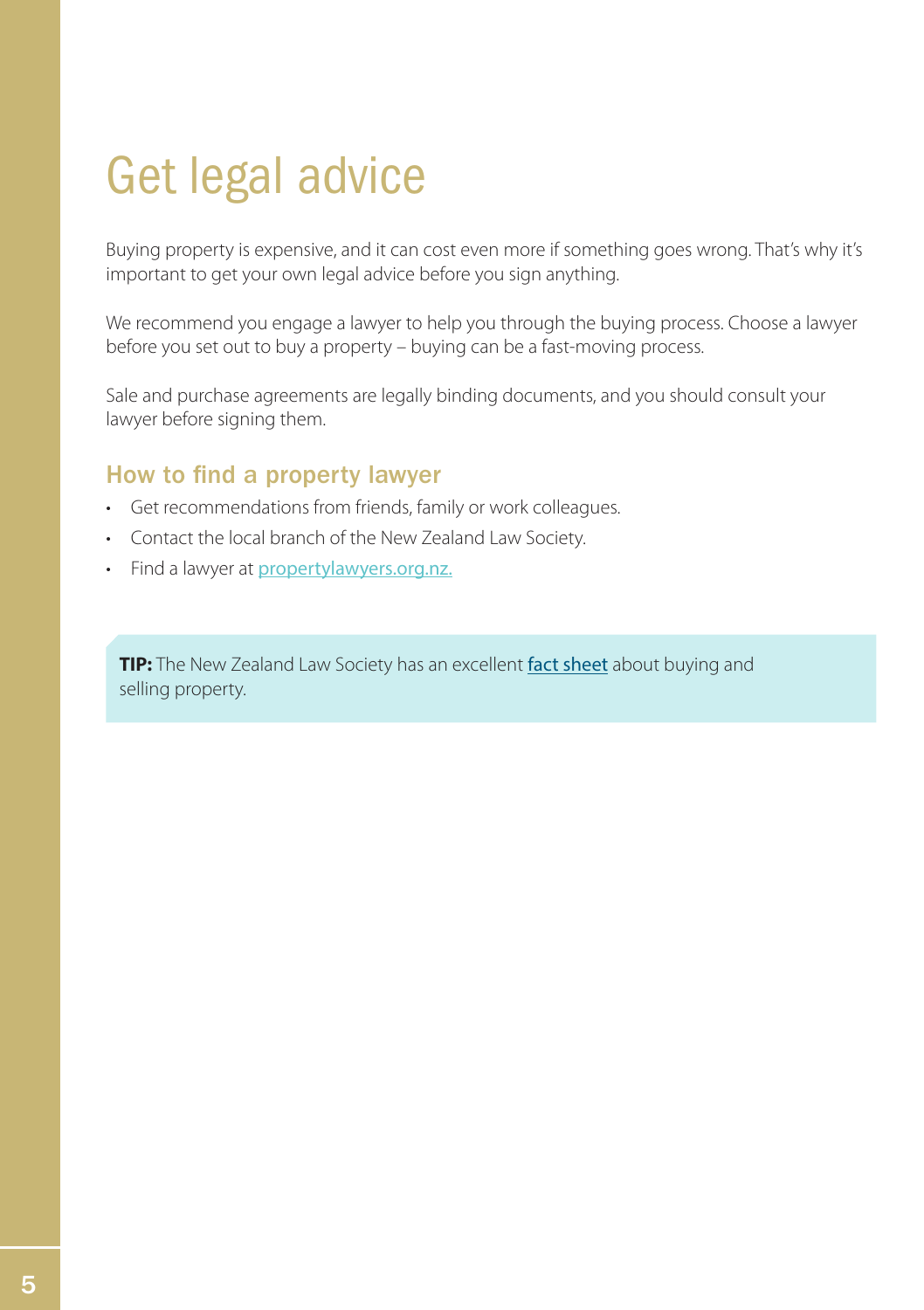# <span id="page-5-0"></span>Get legal advice

Buying property is expensive, and it can cost even more if something goes wrong. That's why it's important to get your own legal advice before you sign anything.

We recommend you engage a lawyer to help you through the buying process. Choose a lawyer before you set out to buy a property – buying can be a fast-moving process.

Sale and purchase agreements are legally binding documents, and you should consult your lawyer before signing them.

### How to find a property lawyer

- • Get recommendations from friends, family or work colleagues.
- Contact the local branch of the New Zealand Law Society.
- Find a lawyer at [propertylawyers.org.nz.](http://www.propertylawyers.org.nz/)

**TIP:** The New Zealand Law Society has an excellent [fact sheet](https://www.lawsociety.org.nz/news-and-communications/guides-to-the-law/buying-and-selling-a-property) about buying and selling property.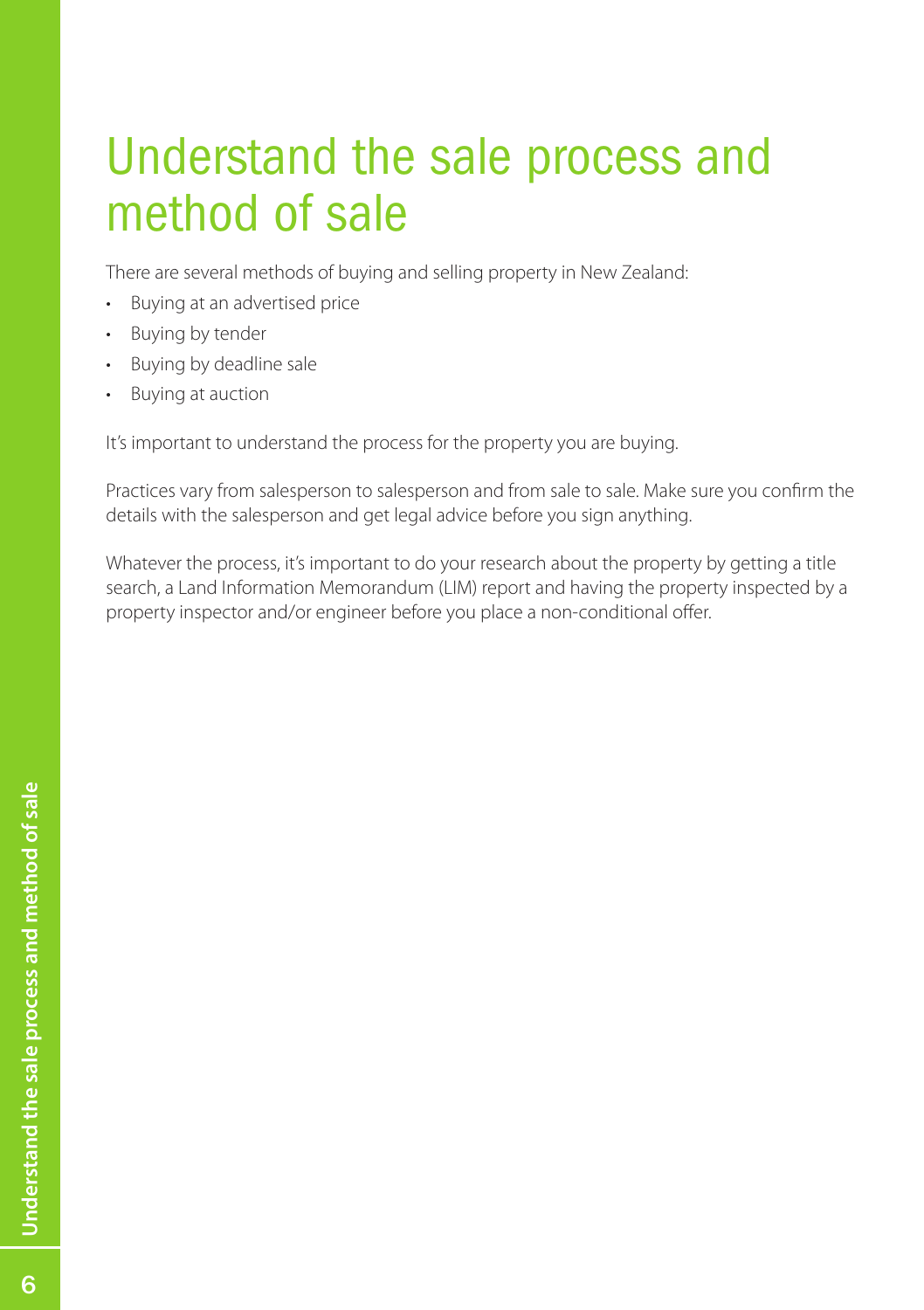# <span id="page-6-0"></span>Understand the sale process and method of sale

There are several methods of buying and selling property in New Zealand:

- • Buying at an advertised price
- Buying by tender
- • Buying by deadline sale
- • Buying at auction

It's important to understand the process for the property you are buying.

Practices vary from salesperson to salesperson and from sale to sale. Make sure you confirm the details with the salesperson and get legal advice before you sign anything.

Whatever the process, it's important to do your research about the property by getting a title search, a Land Information Memorandum (LIM) report and having the property inspected by a property inspector and/or engineer before you place a non-conditional offer.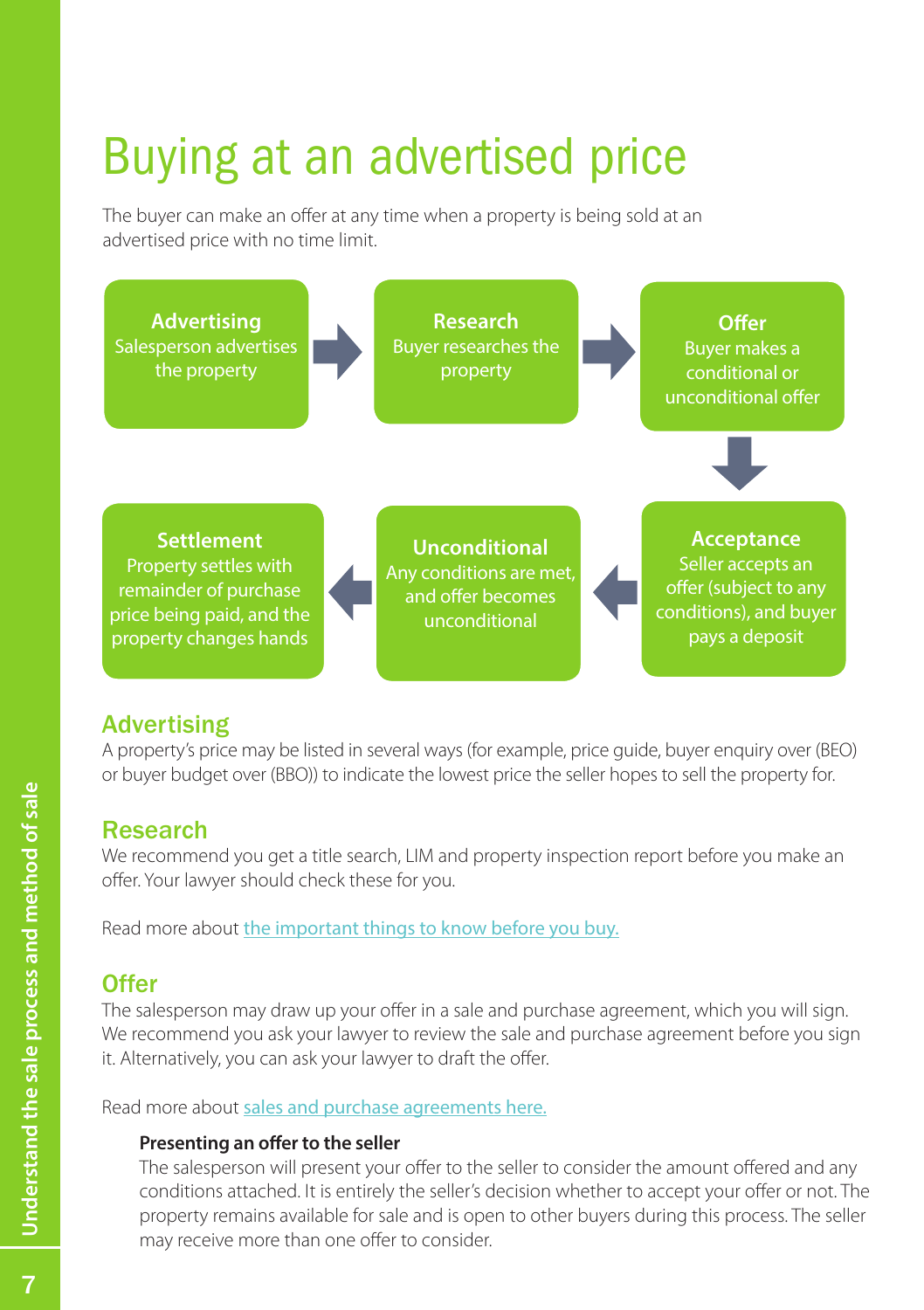# Buying at an advertised price

The buyer can make an offer at any time when a property is being sold at an advertised price with no time limit.



# **Advertising**

A property's price may be listed in several ways (for example, price guide, buyer enquiry over (BEO) or buyer budget over (BBO)) to indicate the lowest price the seller hopes to sell the property for.

#### Research

We recommend you get a title search, LIM and property inspection report before you make an offer. Your lawyer should check these for you.

Read more about [the important things to know before you buy](#page-2-0).

# **Offer**

The salesperson may draw up your offer in a sale and purchase agreement, which you will sign. We recommend you ask your lawyer to review the sale and purchase agreement before you sign it. Alternatively, you can ask your lawyer to draft the offer.

Read more about [sales and purchase agreements here.](#page-17-0)

#### **Presenting an offer to the seller**

The salesperson will present your offer to the seller to consider the amount offered and any conditions attached. It is entirely the seller's decision whether to accept your offer or not. The property remains available for sale and is open to other buyers during this process. The seller may receive more than one offer to consider.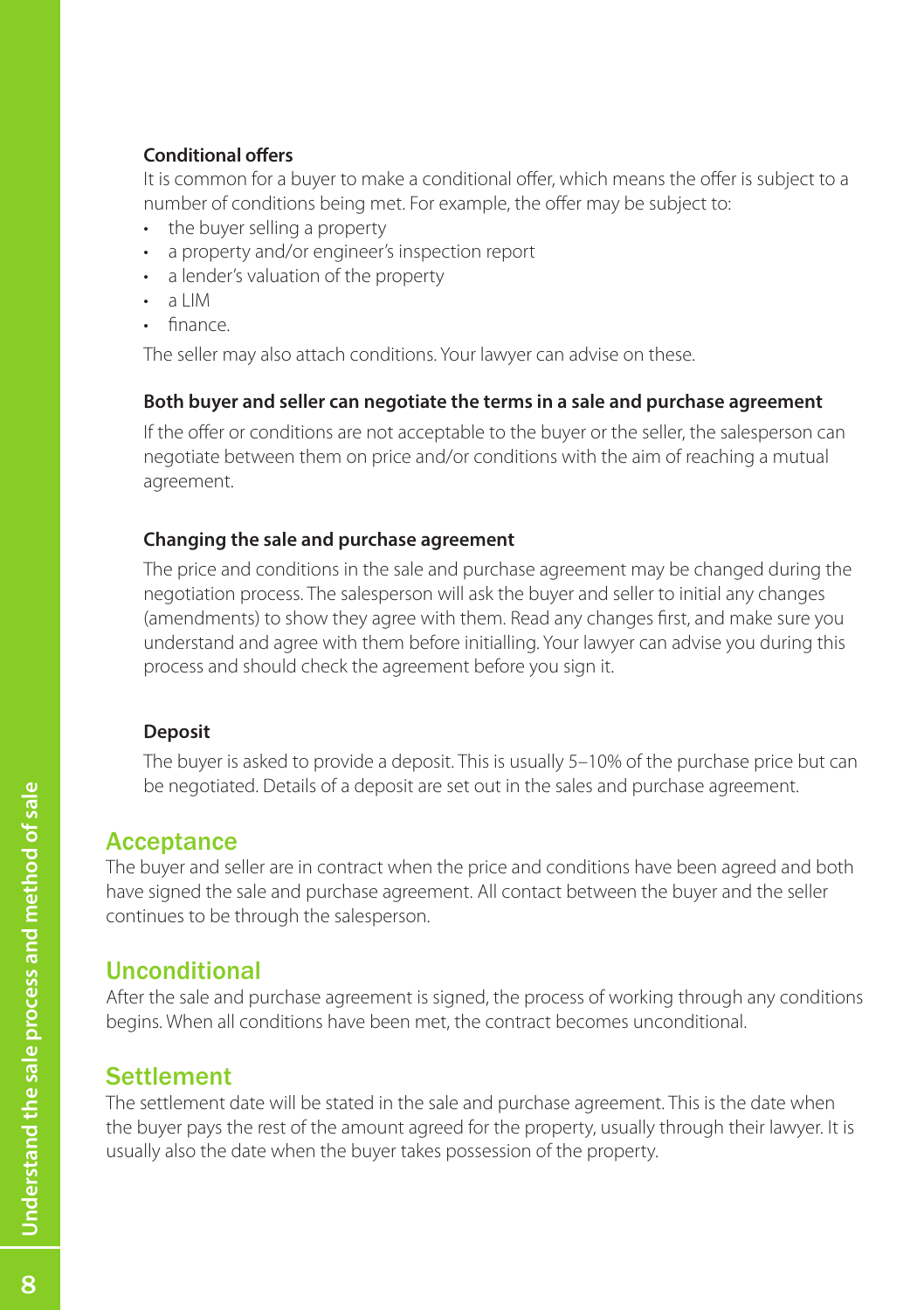#### **Conditional offers**

It is common for a buyer to make a conditional offer, which means the offer is subject to a number of conditions being met. For example, the offer may be subject to:

- the buyer selling a property
- a property and/or engineer's inspection report
- a lender's valuation of the property
- a LIM
- finance

The seller may also attach conditions. Your lawyer can advise on these.

#### **Both buyer and seller can negotiate the terms in a sale and purchase agreement**

If the offer or conditions are not acceptable to the buyer or the seller, the salesperson can negotiate between them on price and/or conditions with the aim of reaching a mutual agreement.

#### **Changing the sale and purchase agreement**

The price and conditions in the sale and purchase agreement may be changed during the negotiation process. The salesperson will ask the buyer and seller to initial any changes (amendments) to show they agree with them. Read any changes first, and make sure you understand and agree with them before initialling. Your lawyer can advise you during this process and should check the agreement before you sign it.

#### **Deposit**

The buyer is asked to provide a deposit. This is usually 5–10% of the purchase price but can be negotiated. Details of a deposit are set out in the sales and purchase agreement.

### **Acceptance**

The buyer and seller are in contract when the price and conditions have been agreed and both have signed the sale and purchase agreement. All contact between the buyer and the seller continues to be through the salesperson.

# Unconditional

After the sale and purchase agreement is signed, the process of working through any conditions begins. When all conditions have been met, the contract becomes unconditional.

# **Settlement**

The settlement date will be stated in the sale and purchase agreement. This is the date when the buyer pays the rest of the amount agreed for the property, usually through their lawyer. It is usually also the date when the buyer takes possession of the property.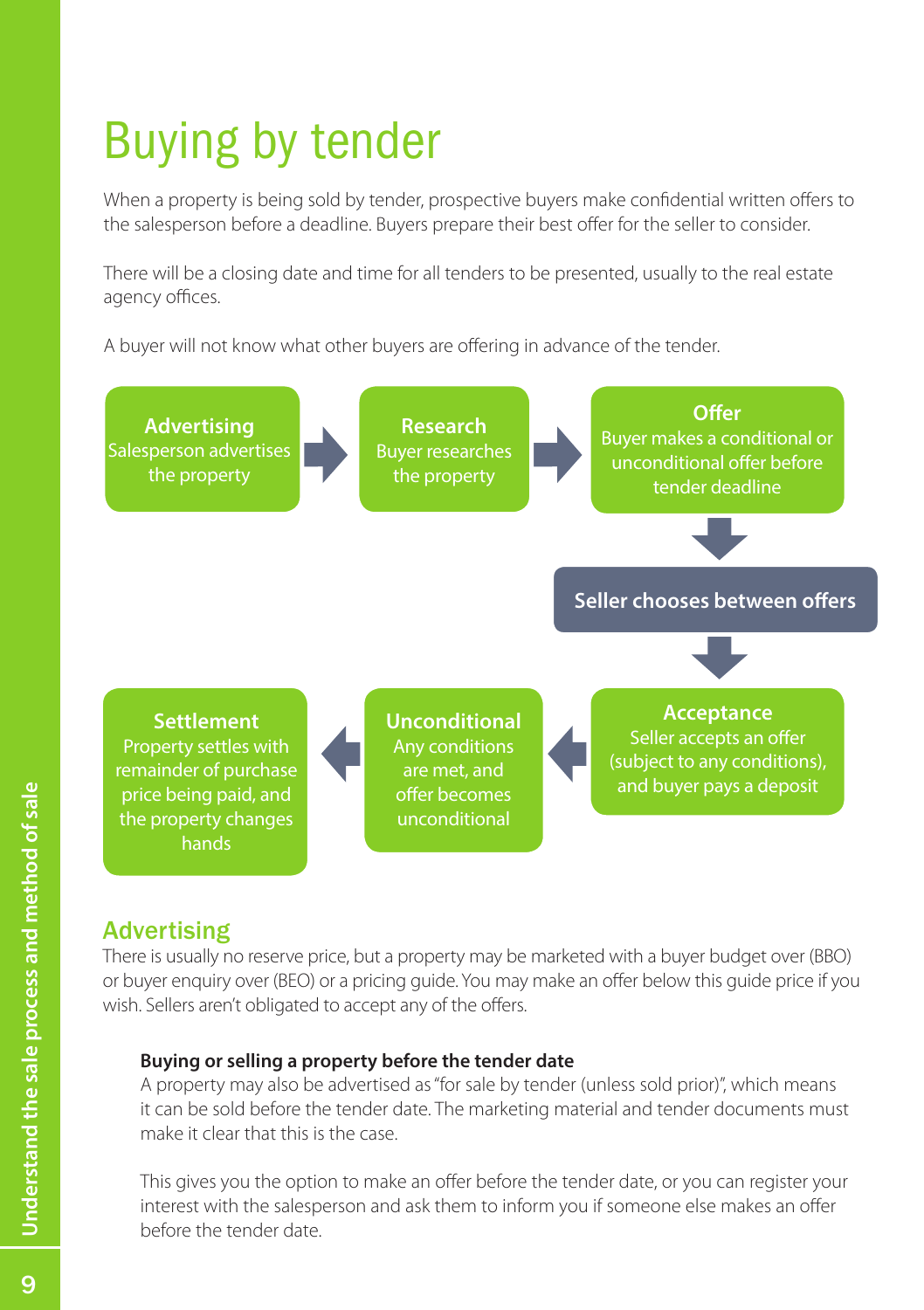# Buying by tender

When a property is being sold by tender, prospective buyers make confidential written offers to the salesperson before a deadline. Buyers prepare their best offer for the seller to consider.

There will be a closing date and time for all tenders to be presented, usually to the real estate agency offices.

A buyer will not know what other buyers are offering in advance of the tender.



# Advertising

There is usually no reserve price, but a property may be marketed with a buyer budget over (BBO) or buyer enquiry over (BEO) or a pricing guide. You may make an offer below this guide price if you wish. Sellers aren't obligated to accept any of the offers.

#### **Buying or selling a property before the tender date**

A property may also be advertised as "for sale by tender (unless sold prior)", which means it can be sold before the tender date. The marketing material and tender documents must make it clear that this is the case.

This gives you the option to make an offer before the tender date, or you can register your interest with the salesperson and ask them to inform you if someone else makes an offer before the tender date.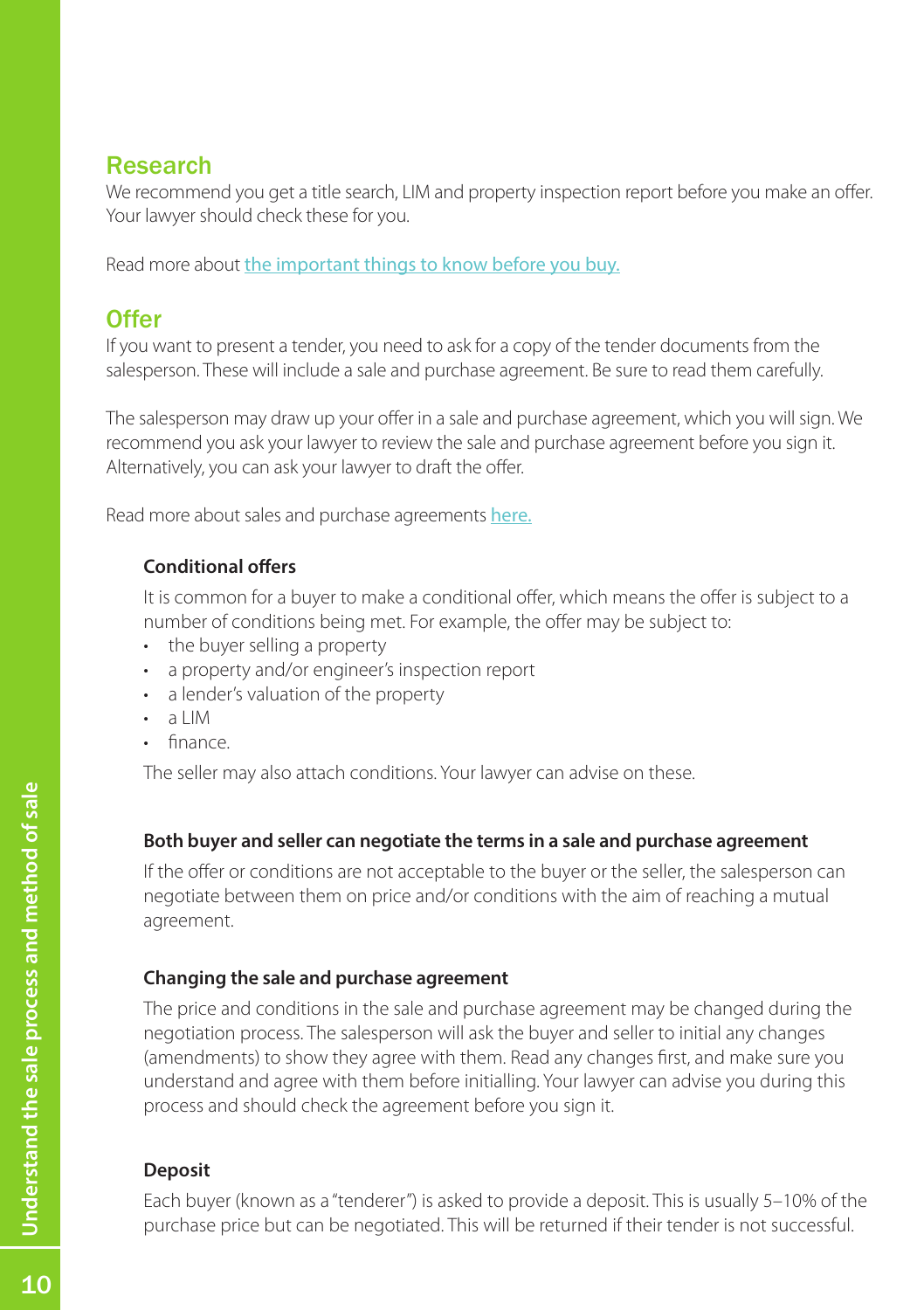# Research

We recommend you get a title search, LIM and property inspection report before you make an offer. Your lawyer should check these for you.

Read more about [the important things to know before you buy.](#page-2-0)

# **Offer**

If you want to present a tender, you need to ask for a copy of the tender documents from the salesperson. These will include a sale and purchase agreement. Be sure to read them carefully.

The salesperson may draw up your offer in a sale and purchase agreement, which you will sign. We recommend you ask your lawyer to review the sale and purchase agreement before you sign it. Alternatively, you can ask your lawyer to draft the offer.

Read more about sales and purchase agreements [here.](#page-17-0)

#### **Conditional offers**

It is common for a buyer to make a conditional offer, which means the offer is subject to a number of conditions being met. For example, the offer may be subject to:

- the buver selling a property
- a property and/or engineer's inspection report
- a lender's valuation of the property
- a LIM
- finance

The seller may also attach conditions. Your lawyer can advise on these.

#### **Both buyer and seller can negotiate the terms in a sale and purchase agreement**

If the offer or conditions are not acceptable to the buyer or the seller, the salesperson can negotiate between them on price and/or conditions with the aim of reaching a mutual agreement.

### **Changing the sale and purchase agreement**

The price and conditions in the sale and purchase agreement may be changed during the negotiation process. The salesperson will ask the buyer and seller to initial any changes (amendments) to show they agree with them. Read any changes first, and make sure you understand and agree with them before initialling. Your lawyer can advise you during this process and should check the agreement before you sign it.

### **Deposit**

Each buyer (known as a "tenderer") is asked to provide a deposit. This is usually 5–10% of the purchase price but can be negotiated. This will be returned if their tender is not successful.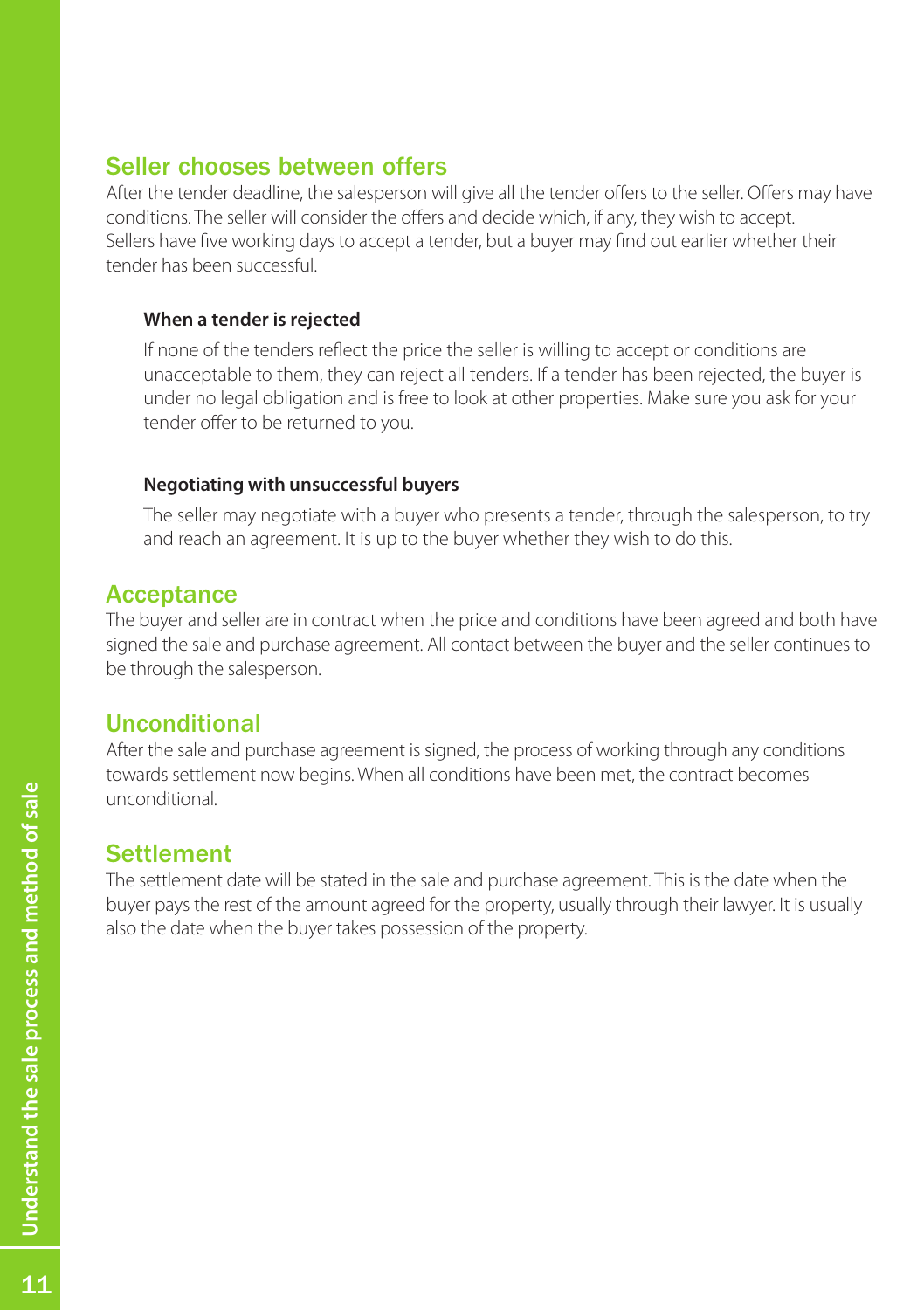#### Seller chooses between offers

After the tender deadline, the salesperson will give all the tender offers to the seller. Offers may have conditions. The seller will consider the offers and decide which, if any, they wish to accept. Sellers have five working days to accept a tender, but a buyer may find out earlier whether their tender has been successful.

#### **When a tender is rejected**

If none of the tenders reflect the price the seller is willing to accept or conditions are unacceptable to them, they can reject all tenders. If a tender has been rejected, the buyer is under no legal obligation and is free to look at other properties. Make sure you ask for your tender offer to be returned to you.

#### **Negotiating with unsuccessful buyers**

The seller may negotiate with a buyer who presents a tender, through the salesperson, to try and reach an agreement. It is up to the buyer whether they wish to do this.

#### **Acceptance**

The buyer and seller are in contract when the price and conditions have been agreed and both have signed the sale and purchase agreement. All contact between the buyer and the seller continues to be through the salesperson.

# Unconditional

After the sale and purchase agreement is signed, the process of working through any conditions towards settlement now begins. When all conditions have been met, the contract becomes unconditional.

# **Settlement**

The settlement date will be stated in the sale and purchase agreement. This is the date when the buyer pays the rest of the amount agreed for the property, usually through their lawyer. It is usually also the date when the buyer takes possession of the property.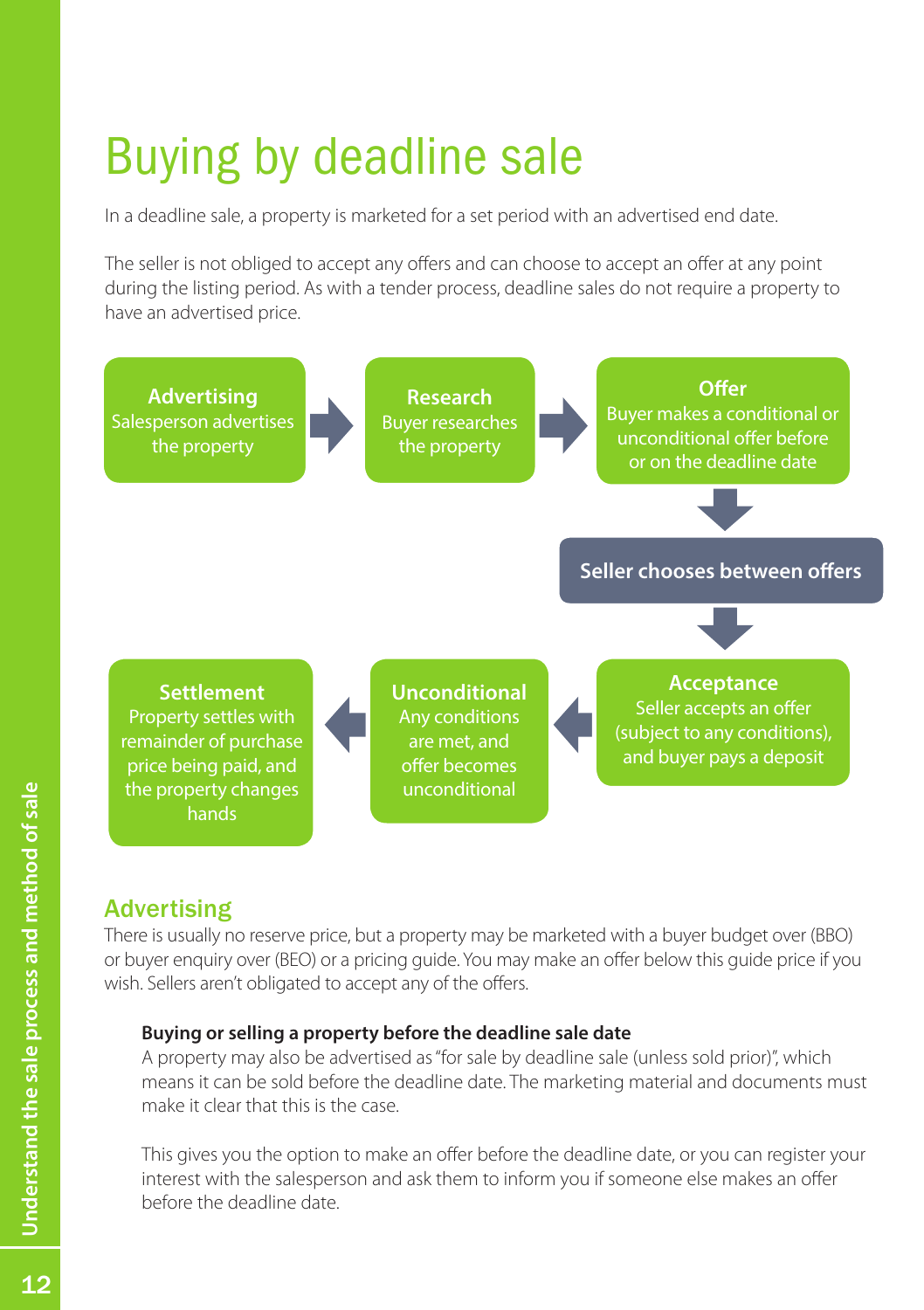# Buying by deadline sale

In a deadline sale, a property is marketed for a set period with an advertised end date.

The seller is not obliged to accept any offers and can choose to accept an offer at any point during the listing period. As with a tender process, deadline sales do not require a property to have an advertised price.



# Advertising

There is usually no reserve price, but a property may be marketed with a buyer budget over (BBO) or buyer enquiry over (BEO) or a pricing guide. You may make an offer below this guide price if you wish. Sellers aren't obligated to accept any of the offers.

#### **Buying or selling a property before the deadline sale date**

A property may also be advertised as "for sale by deadline sale (unless sold prior)", which means it can be sold before the deadline date. The marketing material and documents must make it clear that this is the case.

This gives you the option to make an offer before the deadline date, or you can register your interest with the salesperson and ask them to inform you if someone else makes an offer before the deadline date.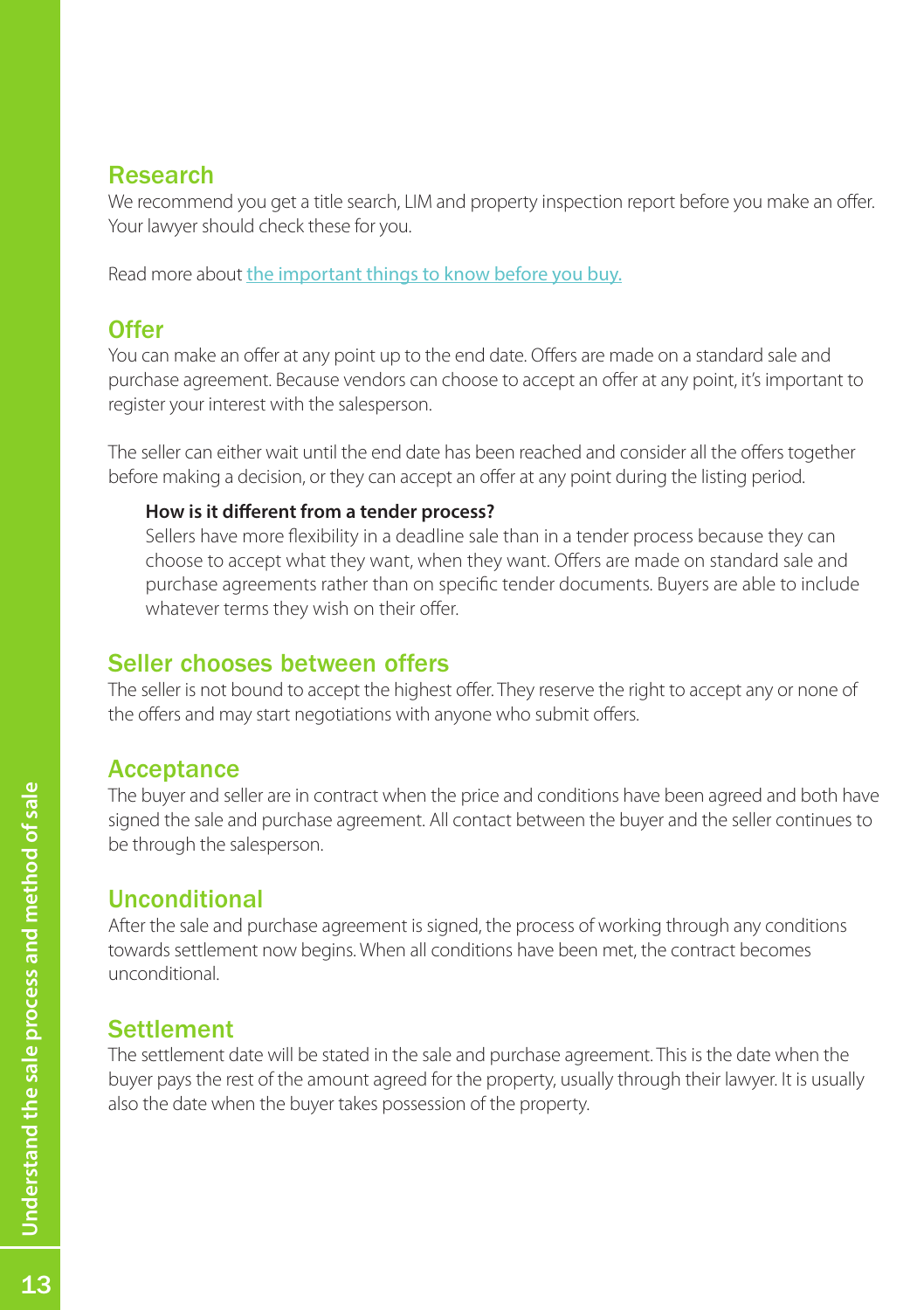### Research

We recommend you get a title search, LIM and property inspection report before you make an offer. Your lawyer should check these for you.

Read more about [the important things to know before you buy.](#page-2-0)

# **Offer**

You can make an offer at any point up to the end date. Offers are made on a standard sale and purchase agreement. Because vendors can choose to accept an offer at any point, it's important to register your interest with the salesperson.

The seller can either wait until the end date has been reached and consider all the offers together before making a decision, or they can accept an offer at any point during the listing period.

#### **How is it different from a tender process?**

Sellers have more flexibility in a deadline sale than in a tender process because they can choose to accept what they want, when they want. Offers are made on standard sale and purchase agreements rather than on specific tender documents. Buyers are able to include whatever terms they wish on their offer.

# Seller chooses between offers

The seller is not bound to accept the highest offer. They reserve the right to accept any or none of the offers and may start negotiations with anyone who submit offers.

### **Acceptance**

The buyer and seller are in contract when the price and conditions have been agreed and both have signed the sale and purchase agreement. All contact between the buyer and the seller continues to be through the salesperson.

# Unconditional

After the sale and purchase agreement is signed, the process of working through any conditions towards settlement now begins. When all conditions have been met, the contract becomes unconditional.

# **Settlement**

The settlement date will be stated in the sale and purchase agreement. This is the date when the buyer pays the rest of the amount agreed for the property, usually through their lawyer. It is usually also the date when the buyer takes possession of the property.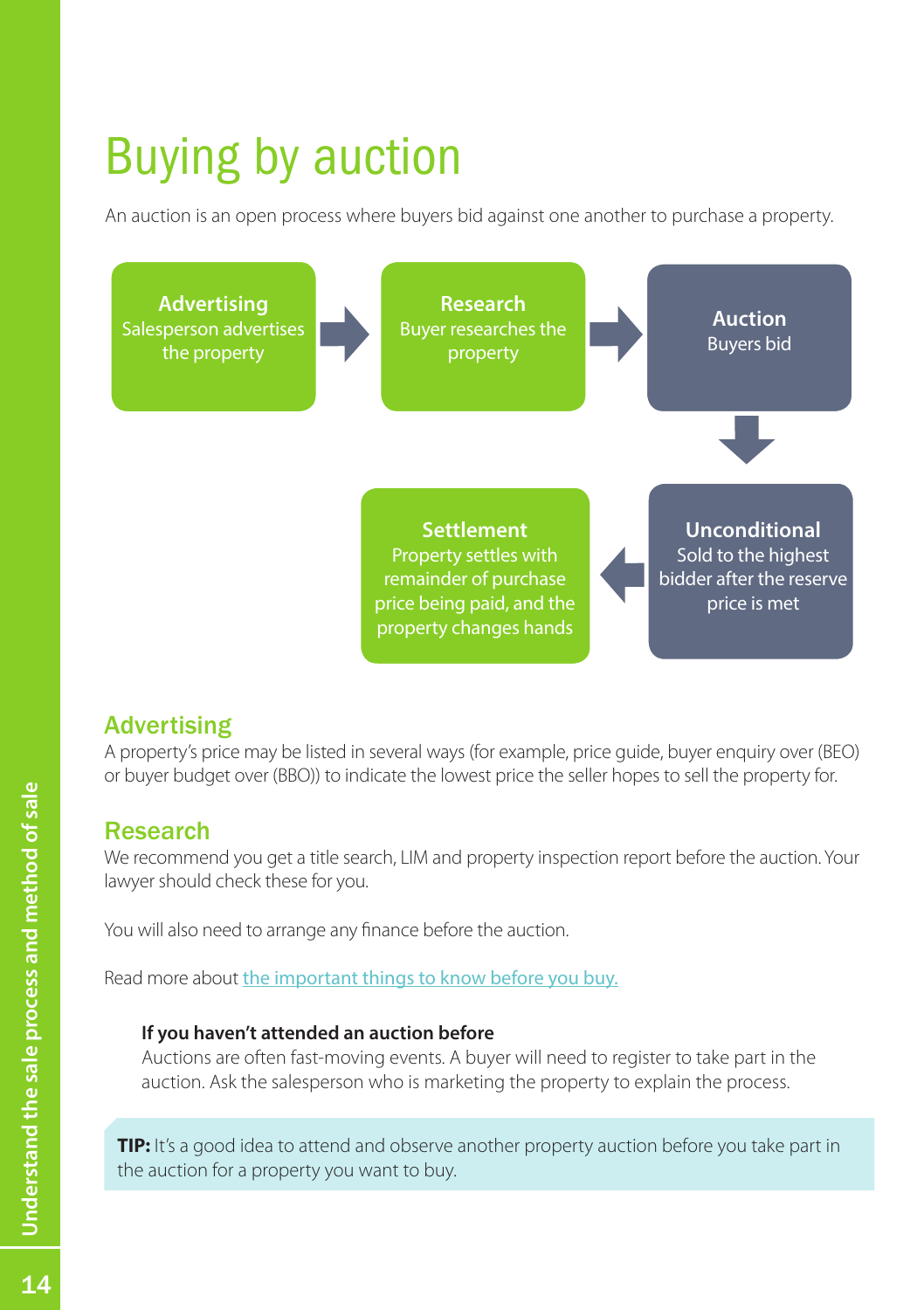# Buying by auction

An auction is an open process where buyers bid against one another to purchase a property.



# **Advertising**

A property's price may be listed in several ways (for example, price guide, buyer enquiry over (BEO) or buyer budget over (BBO)) to indicate the lowest price the seller hopes to sell the property for.

### Research

We recommend you get a title search, LIM and property inspection report before the auction. Your lawyer should check these for you.

You will also need to arrange any finance before the auction.

Read more about [the important things to know before you buy.](#page-2-0)

#### **If you haven't attended an auction before**

Auctions are often fast-moving events. A buyer will need to register to take part in the auction. Ask the salesperson who is marketing the property to explain the process.

**TIP:** It's a good idea to attend and observe another property auction before you take part in the auction for a property you want to buy.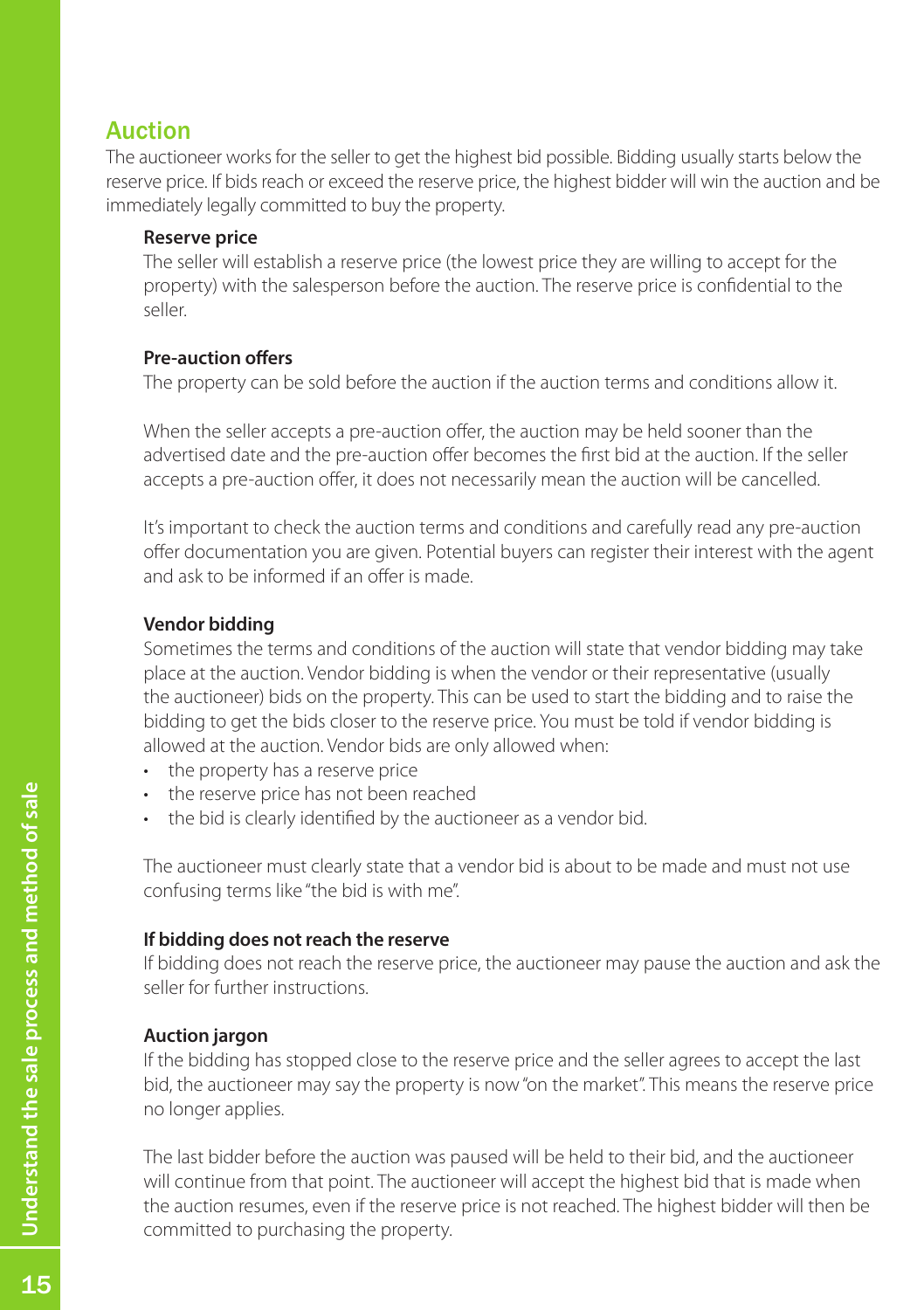# Auction

The auctioneer works for the seller to get the highest bid possible. Bidding usually starts below the reserve price. If bids reach or exceed the reserve price, the highest bidder will win the auction and be immediately legally committed to buy the property.

#### **Reserve price**

The seller will establish a reserve price (the lowest price they are willing to accept for the property) with the salesperson before the auction. The reserve price is confidential to the seller.

#### **Pre-auction offers**

The property can be sold before the auction if the auction terms and conditions allow it.

When the seller accepts a pre-auction offer, the auction may be held sooner than the advertised date and the pre-auction offer becomes the first bid at the auction. If the seller accepts a pre-auction offer, it does not necessarily mean the auction will be cancelled.

It's important to check the auction terms and conditions and carefully read any pre-auction offer documentation you are given. Potential buyers can register their interest with the agent and ask to be informed if an offer is made.

#### **Vendor bidding**

Sometimes the terms and conditions of the auction will state that vendor bidding may take place at the auction. Vendor bidding is when the vendor or their representative (usually the auctioneer) bids on the property. This can be used to start the bidding and to raise the bidding to get the bids closer to the reserve price. You must be told if vendor bidding is allowed at the auction. Vendor bids are only allowed when:

- the property has a reserve price
- • the reserve price has not been reached
- the bid is clearly identified by the auctioneer as a vendor bid.

The auctioneer must clearly state that a vendor bid is about to be made and must not use confusing terms like "the bid is with me".

#### **If bidding does not reach the reserve**

If bidding does not reach the reserve price, the auctioneer may pause the auction and ask the seller for further instructions.

#### **Auction jargon**

If the bidding has stopped close to the reserve price and the seller agrees to accept the last bid, the auctioneer may say the property is now "on the market". This means the reserve price no longer applies.

The last bidder before the auction was paused will be held to their bid, and the auctioneer will continue from that point. The auctioneer will accept the highest bid that is made when the auction resumes, even if the reserve price is not reached. The highest bidder will then be committed to purchasing the property.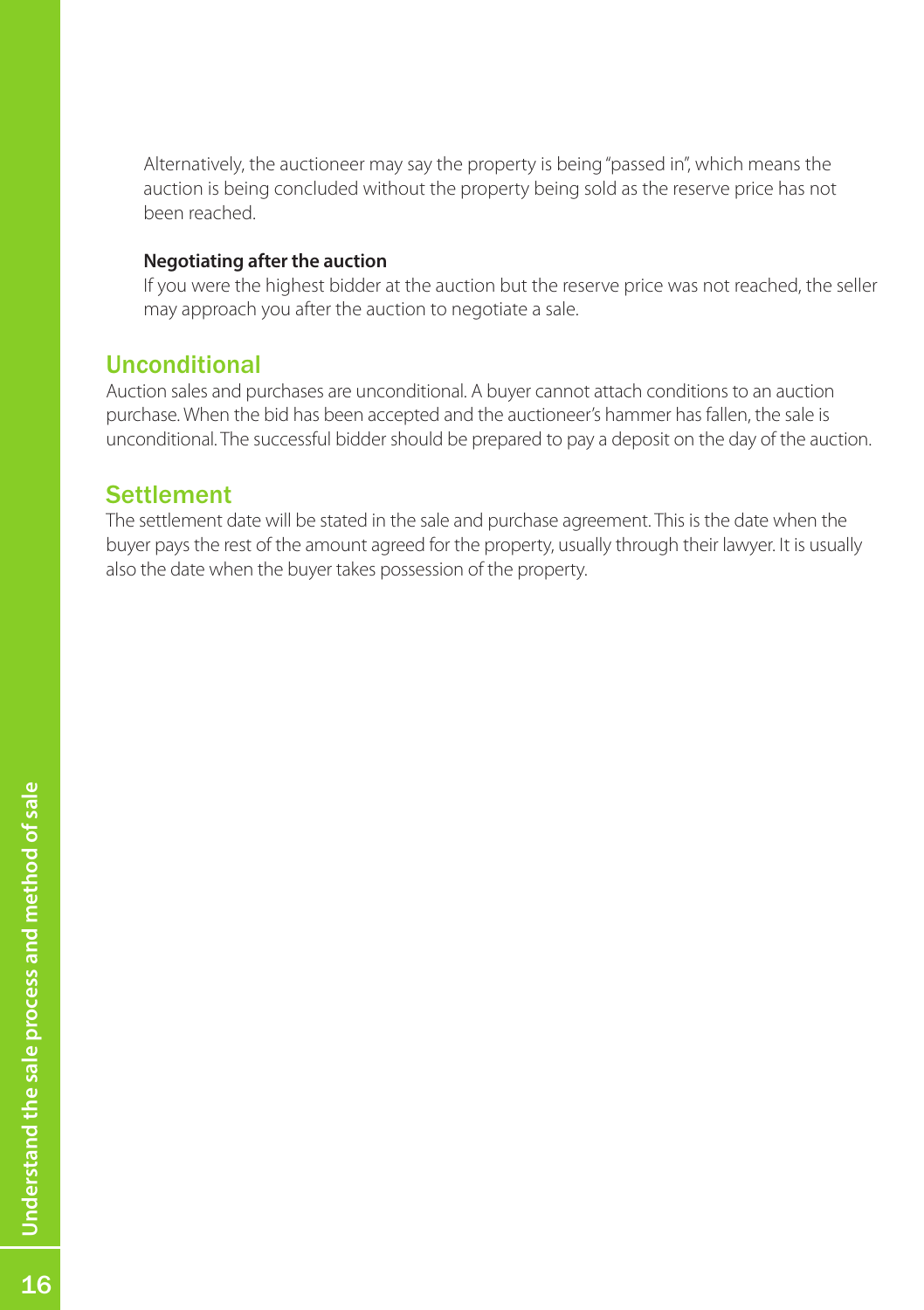Alternatively, the auctioneer may say the property is being "passed in", which means the auction is being concluded without the property being sold as the reserve price has not been reached.

#### **Negotiating after the auction**

If you were the highest bidder at the auction but the reserve price was not reached, the seller may approach you after the auction to negotiate a sale.

# Unconditional

Auction sales and purchases are unconditional. A buyer cannot attach conditions to an auction purchase. When the bid has been accepted and the auctioneer's hammer has fallen, the sale is unconditional. The successful bidder should be prepared to pay a deposit on the day of the auction.

### **Settlement**

The settlement date will be stated in the sale and purchase agreement. This is the date when the buyer pays the rest of the amount agreed for the property, usually through their lawyer. It is usually also the date when the buyer takes possession of the property.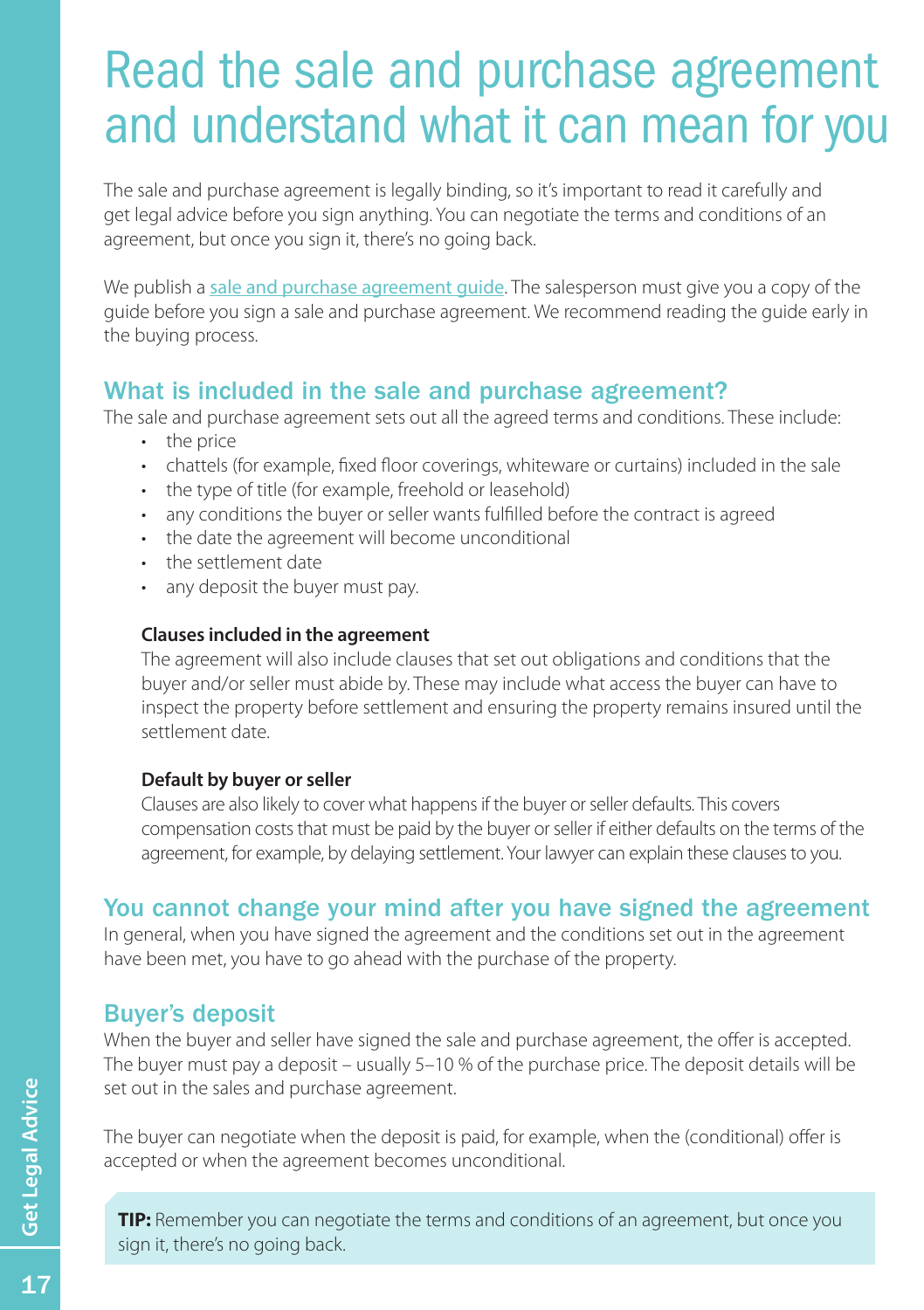# <span id="page-17-0"></span>Read the sale and purchase agreement and understand what it can mean for you

The sale and purchase agreement is legally binding, so it's important to read it carefully and get legal advice before you sign anything. You can negotiate the terms and conditions of an agreement, but once you sign it, there's no going back.

We publish a [sale and purchase agreement guide](http://www.reaa.govt.nz/ForBuyersAndSellers/Pages/Whatsinasaleandpurchaseagreement.aspx). The salesperson must give you a copy of the guide before you sign a sale and purchase agreement. We recommend reading the guide early in the buying process.

# What is included in the sale and purchase agreement?

The sale and purchase agreement sets out all the agreed terms and conditions. These include:

- the price
- • chattels (for example, fixed floor coverings, whiteware or curtains) included in the sale
- the type of title (for example, freehold or leasehold)
- • any conditions the buyer or seller wants fulfilled before the contract is agreed
- • the date the agreement will become unconditional
- • the settlement date
- any deposit the buyer must pay.

#### **Clauses included in the agreement**

The agreement will also include clauses that set out obligations and conditions that the buyer and/or seller must abide by. These may include what access the buyer can have to inspect the property before settlement and ensuring the property remains insured until the settlement date.

#### **Default by buyer or seller**

Clauses are also likely to cover what happens if the buyer or seller defaults. This covers compensation costs that must be paid by the buyer or seller if either defaults on the terms of the agreement, for example, by delaying settlement. Your lawyer can explain these clauses to you.

# You cannot change your mind after you have signed the agreement

In general, when you have signed the agreement and the conditions set out in the agreement have been met, you have to go ahead with the purchase of the property.

### Buyer's deposit

When the buyer and seller have signed the sale and purchase agreement, the offer is accepted. The buyer must pay a deposit – usually 5–10 % of the purchase price. The deposit details will be set out in the sales and purchase agreement.

The buyer can negotiate when the deposit is paid, for example, when the (conditional) offer is accepted or when the agreement becomes unconditional.

**TIP:** Remember you can negotiate the terms and conditions of an agreement, but once you sign it, there's no going back.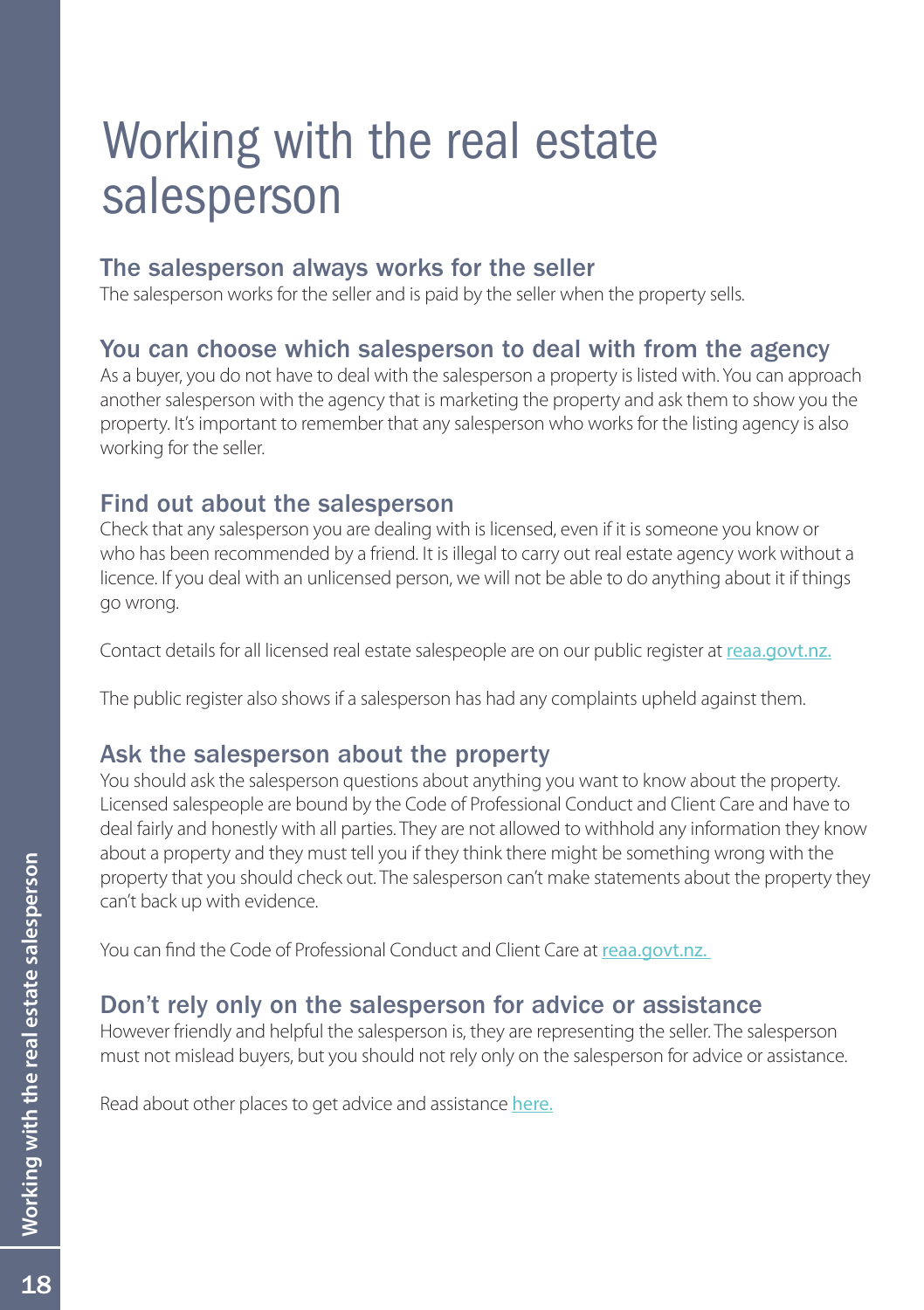# <span id="page-18-0"></span>Working with the real estate salesperson

# The salesperson always works for the seller

The salesperson works for the seller and is paid by the seller when the property sells.

# You can choose which salesperson to deal with from the agency

As a buyer, you do not have to deal with the salesperson a property is listed with. You can approach another salesperson with the agency that is marketing the property and ask them to show you the property. It's important to remember that any salesperson who works for the listing agency is also working for the seller.

# Find out about the salesperson

Check that any salesperson you are dealing with is licensed, even if it is someone you know or who has been recommended by a friend. It is illegal to carry out real estate agency work without a licence. If you deal with an unlicensed person, we will not be able to do anything about it if things go wrong.

Contact details for all licensed real estate salespeople are on our public register at [reaa.govt.nz.](https://portal.reaa.govt.nz/public/register-search/)

The public register also shows if a salesperson has had any complaints upheld against them.

# Ask the salesperson about the property

You should ask the salesperson questions about anything you want to know about the property. Licensed salespeople are bound by the Code of Professional Conduct and Client Care and have to deal fairly and honestly with all parties. They are not allowed to withhold any information they know about a property and they must tell you if they think there might be something wrong with the property that you should check out. The salesperson can't make statements about the property they can't back up with evidence.

You can find the Code of Professional Conduct and Client Care at [reaa.govt.nz.](http://www.reaa.govt.nz/ForLicensees/YourObligations/Pages/Your-obligations.aspx) 

# Don't rely only on the salesperson for advice or assistance

However friendly and helpful the salesperson is, they are representing the seller. The salesperson must not mislead buyers, but you should not rely only on the salesperson for advice or assistance.

Read about other places to get advice and assistance [here](#page-2-0).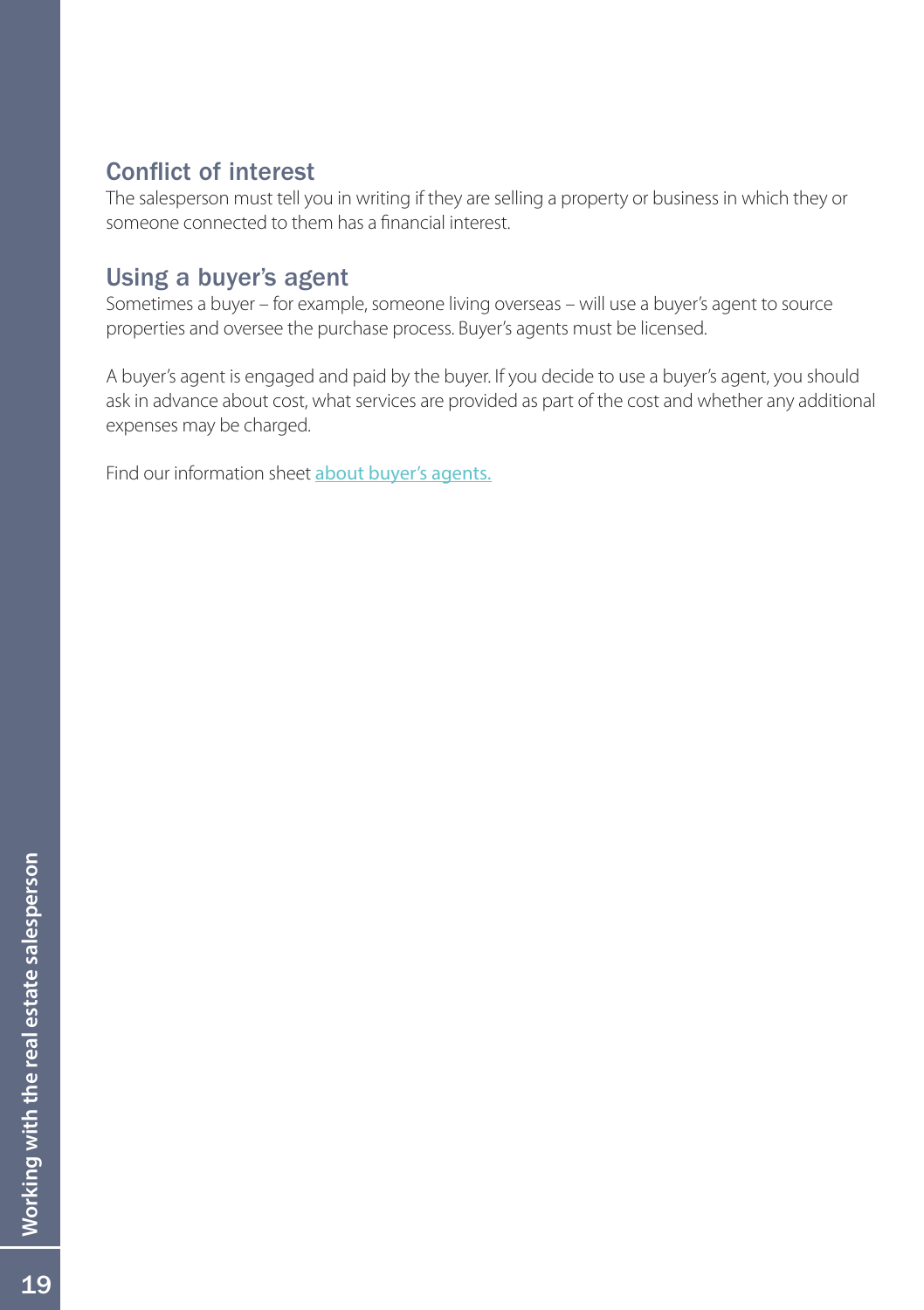# Conflict of interest

The salesperson must tell you in writing if they are selling a property or business in which they or someone connected to them has a financial interest.

# Using a buyer's agent

Sometimes a buyer – for example, someone living overseas – will use a buyer's agent to source properties and oversee the purchase process. Buyer's agents must be licensed.

A buyer's agent is engaged and paid by the buyer. If you decide to use a buyer's agent, you should ask in advance about cost, what services are provided as part of the cost and whether any additional expenses may be charged.

Find our information sheet [about buyer's agents.](http://www.reaa.govt.nz/ForBuyersAndSellers/FormsAndPublications/Pages/Formsandpublications.aspx)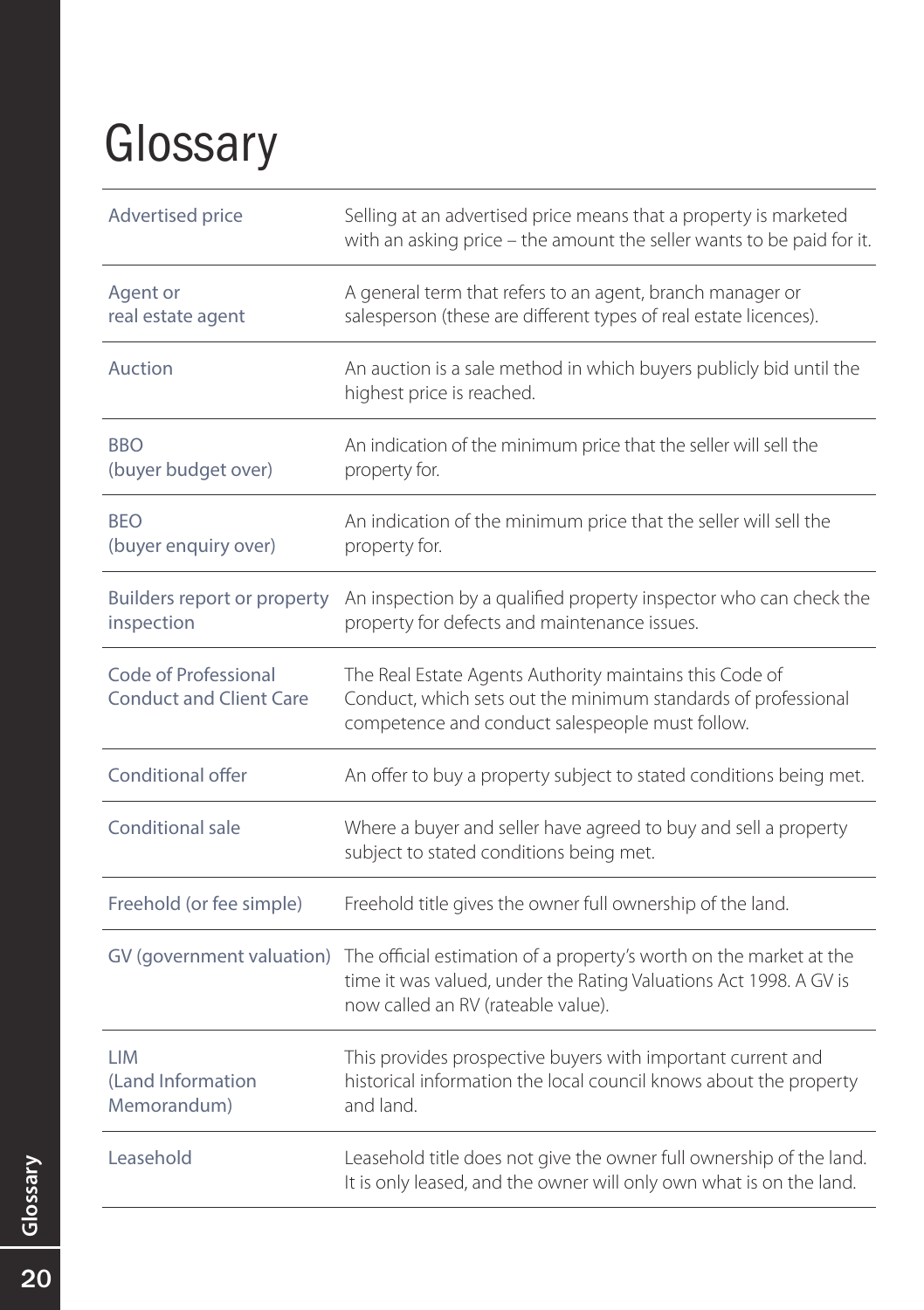# <span id="page-20-0"></span>**Glossary**

| Advertised price                                       | Selling at an advertised price means that a property is marketed<br>with an asking price - the amount the seller wants to be paid for it.                                     |
|--------------------------------------------------------|-------------------------------------------------------------------------------------------------------------------------------------------------------------------------------|
| Agent or<br>real estate agent                          | A general term that refers to an agent, branch manager or<br>salesperson (these are different types of real estate licences).                                                 |
| Auction                                                | An auction is a sale method in which buyers publicly bid until the<br>highest price is reached.                                                                               |
| <b>BBO</b><br>(buyer budget over)                      | An indication of the minimum price that the seller will sell the<br>property for.                                                                                             |
| <b>BFO</b><br>(buyer enquiry over)                     | An indication of the minimum price that the seller will sell the<br>property for.                                                                                             |
| Builders report or property<br>inspection              | An inspection by a qualified property inspector who can check the<br>property for defects and maintenance issues.                                                             |
| Code of Professional<br><b>Conduct and Client Care</b> | The Real Estate Agents Authority maintains this Code of<br>Conduct, which sets out the minimum standards of professional<br>competence and conduct salespeople must follow.   |
| Conditional offer                                      | An offer to buy a property subject to stated conditions being met.                                                                                                            |
| Conditional sale                                       | Where a buyer and seller have agreed to buy and sell a property<br>subject to stated conditions being met.                                                                    |
| Freehold (or fee simple)                               | Freehold title gives the owner full ownership of the land.                                                                                                                    |
| GV (government valuation)                              | The official estimation of a property's worth on the market at the<br>time it was valued, under the Rating Valuations Act 1998. A GV is<br>now called an RV (rateable value). |
| <b>LIM</b><br>(Land Information)<br>Memorandum)        | This provides prospective buyers with important current and<br>historical information the local council knows about the property<br>and land.                                 |
| Leasehold                                              | Leasehold title does not give the owner full ownership of the land.<br>It is only leased, and the owner will only own what is on the land.                                    |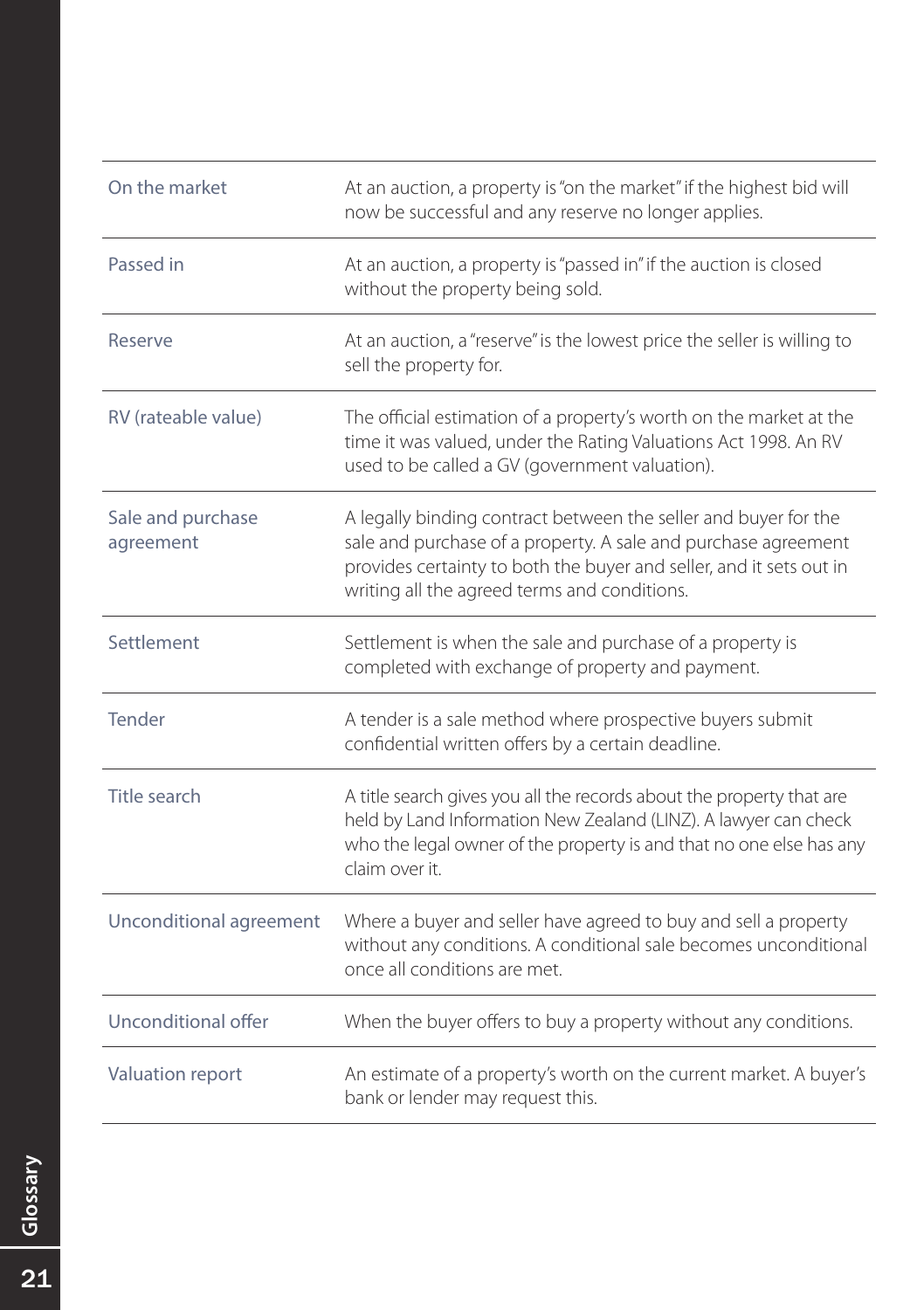| On the market                  | At an auction, a property is "on the market" if the highest bid will<br>now be successful and any reserve no longer applies.                                                                                                                             |
|--------------------------------|----------------------------------------------------------------------------------------------------------------------------------------------------------------------------------------------------------------------------------------------------------|
| Passed in                      | At an auction, a property is "passed in" if the auction is closed<br>without the property being sold.                                                                                                                                                    |
| Reserve                        | At an auction, a "reserve" is the lowest price the seller is willing to<br>sell the property for.                                                                                                                                                        |
| RV (rateable value)            | The official estimation of a property's worth on the market at the<br>time it was valued, under the Rating Valuations Act 1998. An RV<br>used to be called a GV (government valuation).                                                                  |
| Sale and purchase<br>agreement | A legally binding contract between the seller and buyer for the<br>sale and purchase of a property. A sale and purchase agreement<br>provides certainty to both the buyer and seller, and it sets out in<br>writing all the agreed terms and conditions. |
| Settlement                     | Settlement is when the sale and purchase of a property is<br>completed with exchange of property and payment.                                                                                                                                            |
| Tender                         | A tender is a sale method where prospective buyers submit<br>confidential written offers by a certain deadline.                                                                                                                                          |
| Title search                   | A title search gives you all the records about the property that are<br>held by Land Information New Zealand (LINZ). A lawyer can check<br>who the legal owner of the property is and that no one else has any<br>claim over it.                         |
| Unconditional agreement        | Where a buyer and seller have agreed to buy and sell a property<br>without any conditions. A conditional sale becomes unconditional<br>once all conditions are met.                                                                                      |
| Unconditional offer            | When the buyer offers to buy a property without any conditions.                                                                                                                                                                                          |
| Valuation report               | An estimate of a property's worth on the current market. A buyer's<br>bank or lender may request this.                                                                                                                                                   |